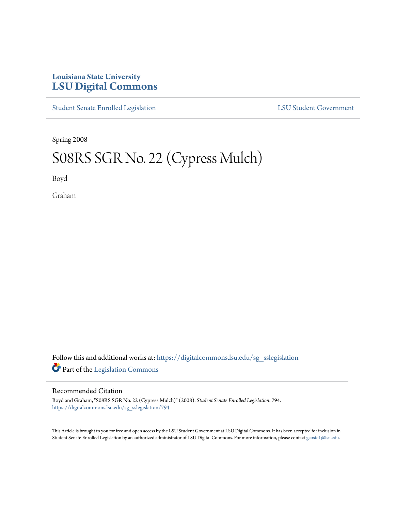## **Louisiana State University [LSU Digital Commons](https://digitalcommons.lsu.edu?utm_source=digitalcommons.lsu.edu%2Fsg_sslegislation%2F794&utm_medium=PDF&utm_campaign=PDFCoverPages)**

[Student Senate Enrolled Legislation](https://digitalcommons.lsu.edu/sg_sslegislation?utm_source=digitalcommons.lsu.edu%2Fsg_sslegislation%2F794&utm_medium=PDF&utm_campaign=PDFCoverPages) [LSU Student Government](https://digitalcommons.lsu.edu/sg?utm_source=digitalcommons.lsu.edu%2Fsg_sslegislation%2F794&utm_medium=PDF&utm_campaign=PDFCoverPages)

Spring 2008

## S08RS SGR No. 22 (Cypress Mulch)

Boyd

Graham

Follow this and additional works at: [https://digitalcommons.lsu.edu/sg\\_sslegislation](https://digitalcommons.lsu.edu/sg_sslegislation?utm_source=digitalcommons.lsu.edu%2Fsg_sslegislation%2F794&utm_medium=PDF&utm_campaign=PDFCoverPages) Part of the [Legislation Commons](http://network.bepress.com/hgg/discipline/859?utm_source=digitalcommons.lsu.edu%2Fsg_sslegislation%2F794&utm_medium=PDF&utm_campaign=PDFCoverPages)

## Recommended Citation

Boyd and Graham, "S08RS SGR No. 22 (Cypress Mulch)" (2008). *Student Senate Enrolled Legislation*. 794. [https://digitalcommons.lsu.edu/sg\\_sslegislation/794](https://digitalcommons.lsu.edu/sg_sslegislation/794?utm_source=digitalcommons.lsu.edu%2Fsg_sslegislation%2F794&utm_medium=PDF&utm_campaign=PDFCoverPages)

This Article is brought to you for free and open access by the LSU Student Government at LSU Digital Commons. It has been accepted for inclusion in Student Senate Enrolled Legislation by an authorized administrator of LSU Digital Commons. For more information, please contact [gcoste1@lsu.edu.](mailto:gcoste1@lsu.edu)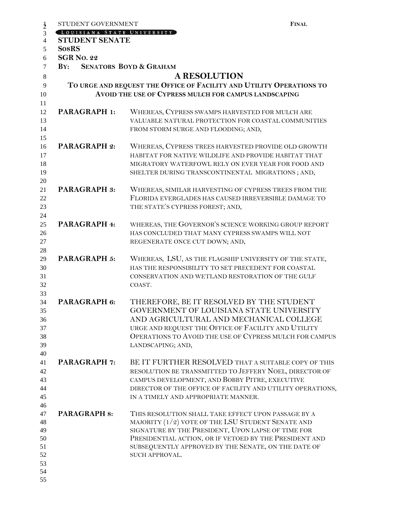| STUDENT GOVERNMENT         | <b>FINAL</b>                                                          |
|----------------------------|-----------------------------------------------------------------------|
| LOUISIANA STATE UNIVERSITY |                                                                       |
| <b>STUDENT SENATE</b>      |                                                                       |
| <b>SosRS</b>               |                                                                       |
| <b>SGR No. 22</b>          |                                                                       |
| $\mathbf{B} \mathbf{Y}$ :  | <b>SENATORS BOYD &amp; GRAHAM</b>                                     |
|                            | <b>A RESOLUTION</b>                                                   |
|                            | TO URGE AND REQUEST THE OFFICE OF FACILITY AND UTILITY OPERATIONS TO  |
|                            | AVOID THE USE OF CYPRESS MULCH FOR CAMPUS LANDSCAPING                 |
|                            |                                                                       |
| <b>PARAGRAPH 1:</b>        | WHEREAS, CYPRESS SWAMPS HARVESTED FOR MULCH ARE                       |
|                            | VALUABLE NATURAL PROTECTION FOR COASTAL COMMUNITIES                   |
|                            | FROM STORM SURGE AND FLOODING; AND,                                   |
|                            |                                                                       |
| <b>PARAGRAPH 2:</b>        | WHEREAS, CYPRESS TREES HARVESTED PROVIDE OLD GROWTH                   |
|                            | HABITAT FOR NATIVE WILDLIFE AND PROVIDE HABITAT THAT                  |
|                            | MIGRATORY WATERFOWL RELY ON EVER YEAR FOR FOOD AND                    |
|                            | SHELTER DURING TRANSCONTINENTAL MIGRATIONS; AND,                      |
|                            |                                                                       |
| <b>PARAGRAPH 3:</b>        | WHEREAS, SIMILAR HARVESTING OF CYPRESS TREES FROM THE                 |
|                            | FLORIDA EVERGLADES HAS CAUSED IRREVERSIBLE DAMAGE TO                  |
|                            | THE STATE'S CYPRESS FOREST; AND,                                      |
|                            |                                                                       |
| PARAGRAPH 4:               | WHEREAS, THE GOVERNOR'S SCIENCE WORKING GROUP REPORT                  |
|                            | HAS CONCLUDED THAT MANY CYPRESS SWAMPS WILL NOT                       |
|                            | REGENERATE ONCE CUT DOWN; AND,                                        |
|                            |                                                                       |
| PARAGRAPH 5:               | WHEREAS, LSU, AS THE FLAGSHIP UNIVERSITY OF THE STATE,                |
|                            | HAS THE RESPONSIBILITY TO SET PRECEDENT FOR COASTAL                   |
|                            | CONSERVATION AND WETLAND RESTORATION OF THE GULF                      |
|                            | COAST.                                                                |
|                            |                                                                       |
| PARAGRAPH 6:               | THEREFORE, BE IT RESOLVED BY THE STUDENT                              |
|                            | GOVERNMENT OF LOUISIANA STATE UNIVERSITY                              |
|                            | AND AGRICULTURAL AND MECHANICAL COLLEGE                               |
|                            | URGE AND REQUEST THE OFFICE OF FACILITY AND UTILITY                   |
|                            | OPERATIONS TO AVOID THE USE OF CYPRESS MULCH FOR CAMPUS               |
|                            | LANDSCAPING; AND,                                                     |
|                            |                                                                       |
| <b>PARAGRAPH 7:</b>        | BE IT FURTHER RESOLVED THAT A SUITABLE COPY OF THIS                   |
|                            | RESOLUTION BE TRANSMITTED TO JEFFERY NOEL, DIRECTOR OF                |
|                            | CAMPUS DEVELOPMENT, AND BOBBY PITRE, EXECUTIVE                        |
|                            | DIRECTOR OF THE OFFICE OF FACILITY AND UTILITY OPERATIONS,            |
|                            | IN A TIMELY AND APPROPRIATE MANNER.                                   |
|                            |                                                                       |
| <b>PARAGRAPH 8:</b>        | THIS RESOLUTION SHALL TAKE EFFECT UPON PASSAGE BY A                   |
|                            | MAJORITY (1/2) VOTE OF THE LSU STUDENT SENATE AND                     |
|                            | SIGNATURE BY THE PRESIDENT, UPON LAPSE OF TIME FOR                    |
|                            | PRESIDENTIAL ACTION, OR IF VETOED BY THE PRESIDENT AND                |
|                            | SUBSEQUENTLY APPROVED BY THE SENATE, ON THE DATE OF<br>SUCH APPROVAL. |
|                            |                                                                       |
|                            |                                                                       |
|                            |                                                                       |
|                            |                                                                       |